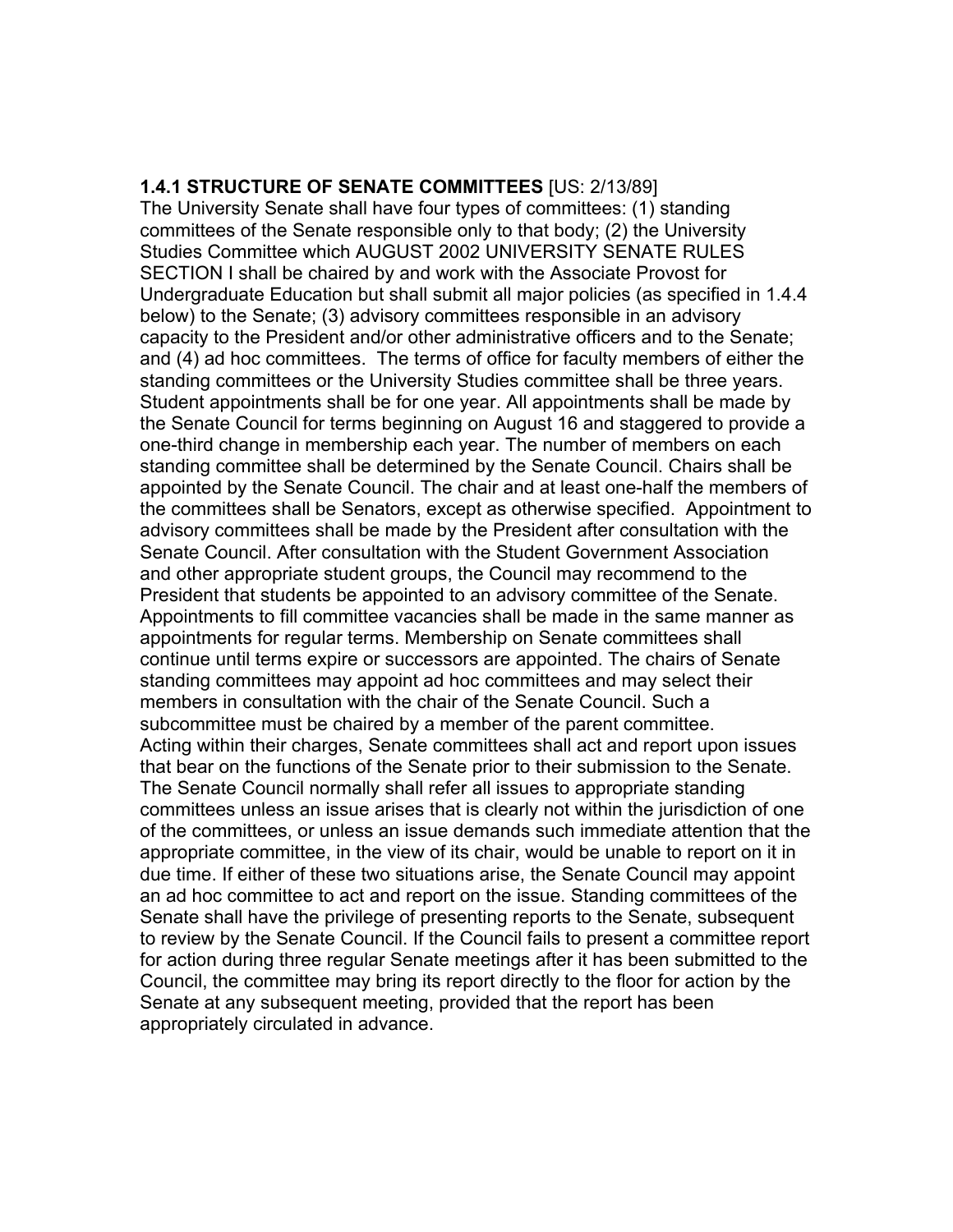**1.4.1 STRUCTURE OF SENATE COMMITTEES** [US: 2/13/89] The University Senate shall have four types of committees: (1) standing committees of the Senate responsible only to that body; (2) the University Studies Committee which AUGUST 2002 UNIVERSITY SENATE RULES SECTION I shall be chaired by and work with the Associate Provost for Undergraduate Education but shall submit all major policies (as specified in 1.4.4 below) to the Senate; (3) advisory committees responsible in an advisory capacity to the President and/or other administrative officers and to the Senate; and (4) ad hoc committees. The terms of office for faculty members of either the standing committees or the University Studies committee shall be three years. Student appointments shall be for one year. All appointments shall be made by the Senate Council for terms beginning on August 16 and staggered to provide a one-third change in membership each year. The number of members on each standing committee shall be determined by the Senate Council. Chairs shall be appointed by the Senate Council. The chair and at least one-half the members of the committees shall be Senators, except as otherwise specified. Appointment to advisory committees shall be made by the President after consultation with the Senate Council. After consultation with the Student Government Association and other appropriate student groups, the Council may recommend to the President that students be appointed to an advisory committee of the Senate. Appointments to fill committee vacancies shall be made in the same manner as appointments for regular terms. Membership on Senate committees shall continue until terms expire or successors are appointed. The chairs of Senate standing committees may appoint ad hoc committees and may select their members in consultation with the chair of the Senate Council. Such a subcommittee must be chaired by a member of the parent committee. Acting within their charges, Senate committees shall act and report upon issues that bear on the functions of the Senate prior to their submission to the Senate. The Senate Council normally shall refer all issues to appropriate standing committees unless an issue arises that is clearly not within the jurisdiction of one of the committees, or unless an issue demands such immediate attention that the appropriate committee, in the view of its chair, would be unable to report on it in due time. If either of these two situations arise, the Senate Council may appoint an ad hoc committee to act and report on the issue. Standing committees of the Senate shall have the privilege of presenting reports to the Senate, subsequent to review by the Senate Council. If the Council fails to present a committee report for action during three regular Senate meetings after it has been submitted to the Council, the committee may bring its report directly to the floor for action by the Senate at any subsequent meeting, provided that the report has been appropriately circulated in advance.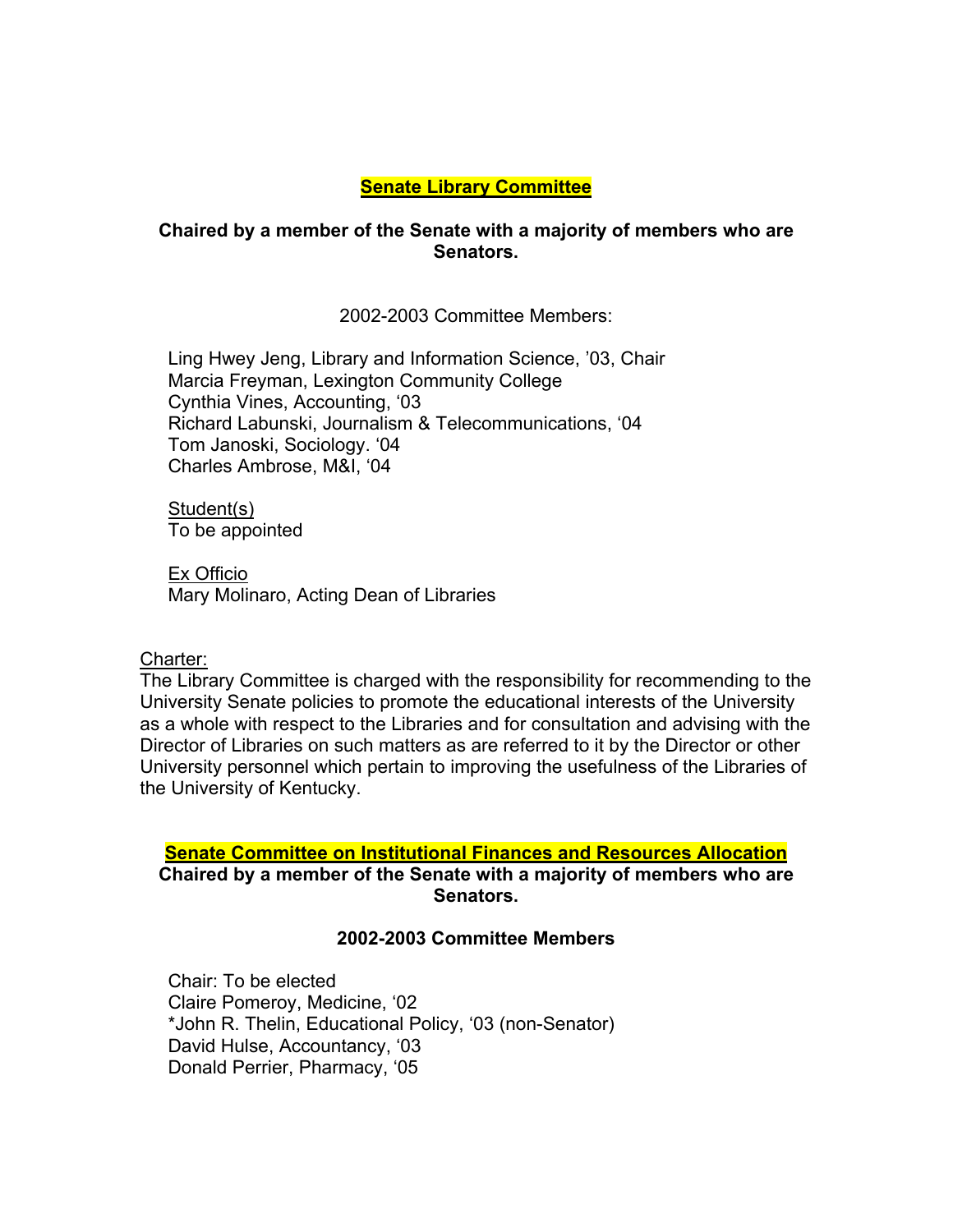## **Senate Library Committee**

### **Chaired by a member of the Senate with a majority of members who are Senators.**

2002-2003 Committee Members:

Ling Hwey Jeng, Library and Information Science, '03, Chair Marcia Freyman, Lexington Community College Cynthia Vines, Accounting, '03 Richard Labunski, Journalism & Telecommunications, '04 Tom Janoski, Sociology. '04 Charles Ambrose, M&I, '04

Student(s) To be appointed

Ex Officio Mary Molinaro, Acting Dean of Libraries

Charter:

The Library Committee is charged with the responsibility for recommending to the University Senate policies to promote the educational interests of the University as a whole with respect to the Libraries and for consultation and advising with the Director of Libraries on such matters as are referred to it by the Director or other University personnel which pertain to improving the usefulness of the Libraries of the University of Kentucky.

### **Senate Committee on Institutional Finances and Resources Allocation**

**Chaired by a member of the Senate with a majority of members who are Senators.** 

## **2002-2003 Committee Members**

Chair: To be elected Claire Pomeroy, Medicine, '02 \*John R. Thelin, Educational Policy, '03 (non-Senator) David Hulse, Accountancy, '03 Donald Perrier, Pharmacy, '05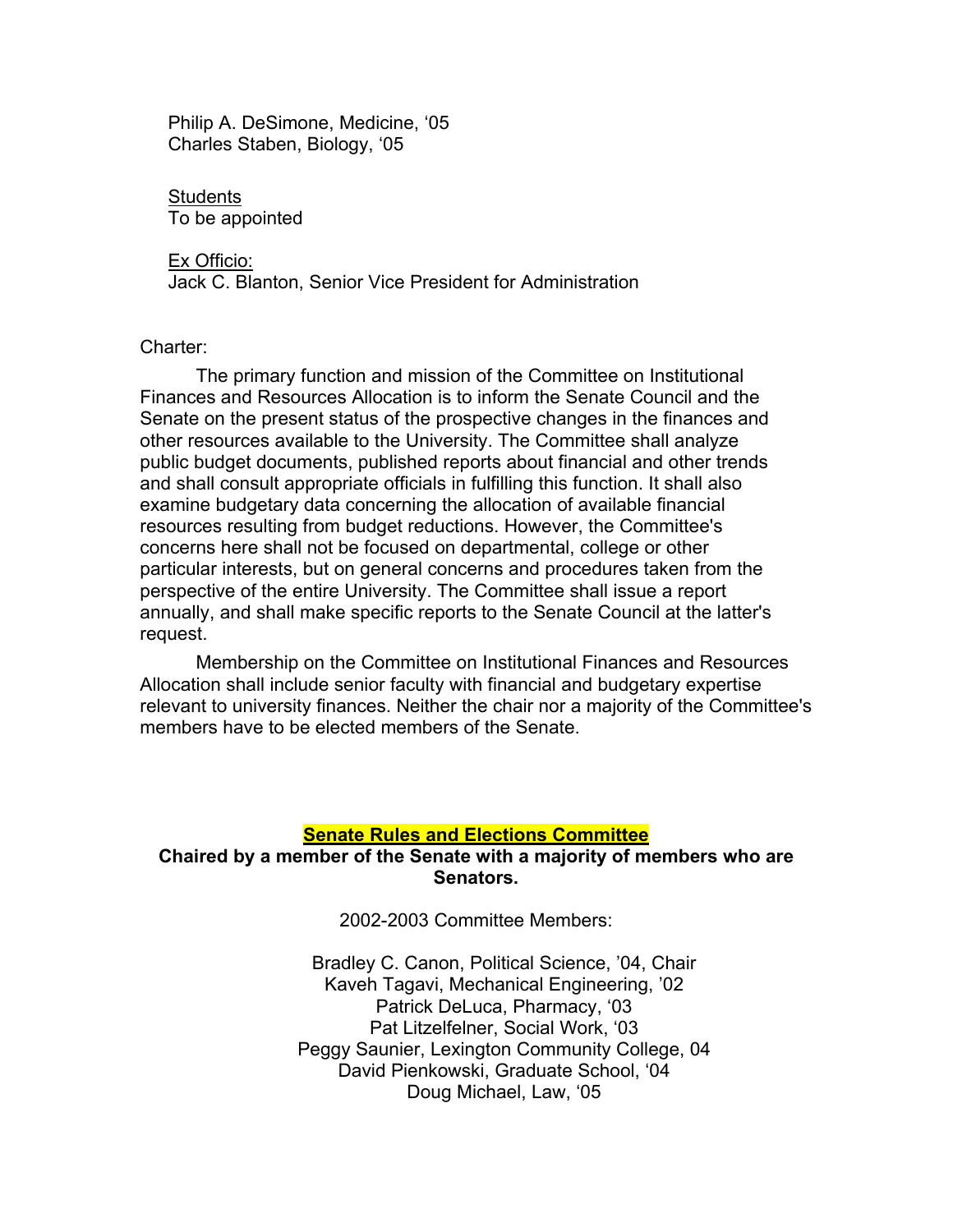Philip A. DeSimone, Medicine, '05 Charles Staben, Biology, '05

Students To be appointed

Ex Officio: Jack C. Blanton, Senior Vice President for Administration

Charter:

The primary function and mission of the Committee on Institutional Finances and Resources Allocation is to inform the Senate Council and the Senate on the present status of the prospective changes in the finances and other resources available to the University. The Committee shall analyze public budget documents, published reports about financial and other trends and shall consult appropriate officials in fulfilling this function. It shall also examine budgetary data concerning the allocation of available financial resources resulting from budget reductions. However, the Committee's concerns here shall not be focused on departmental, college or other particular interests, but on general concerns and procedures taken from the perspective of the entire University. The Committee shall issue a report annually, and shall make specific reports to the Senate Council at the latter's request.

Membership on the Committee on Institutional Finances and Resources Allocation shall include senior faculty with financial and budgetary expertise relevant to university finances. Neither the chair nor a majority of the Committee's members have to be elected members of the Senate.

#### **Senate Rules and Elections Committee**

### **Chaired by a member of the Senate with a majority of members who are Senators.**

2002-2003 Committee Members:

Bradley C. Canon, Political Science, '04, Chair Kaveh Tagavi, Mechanical Engineering, '02 Patrick DeLuca, Pharmacy, '03 Pat Litzelfelner, Social Work, '03 Peggy Saunier, Lexington Community College, 04 David Pienkowski, Graduate School, '04 Doug Michael, Law, '05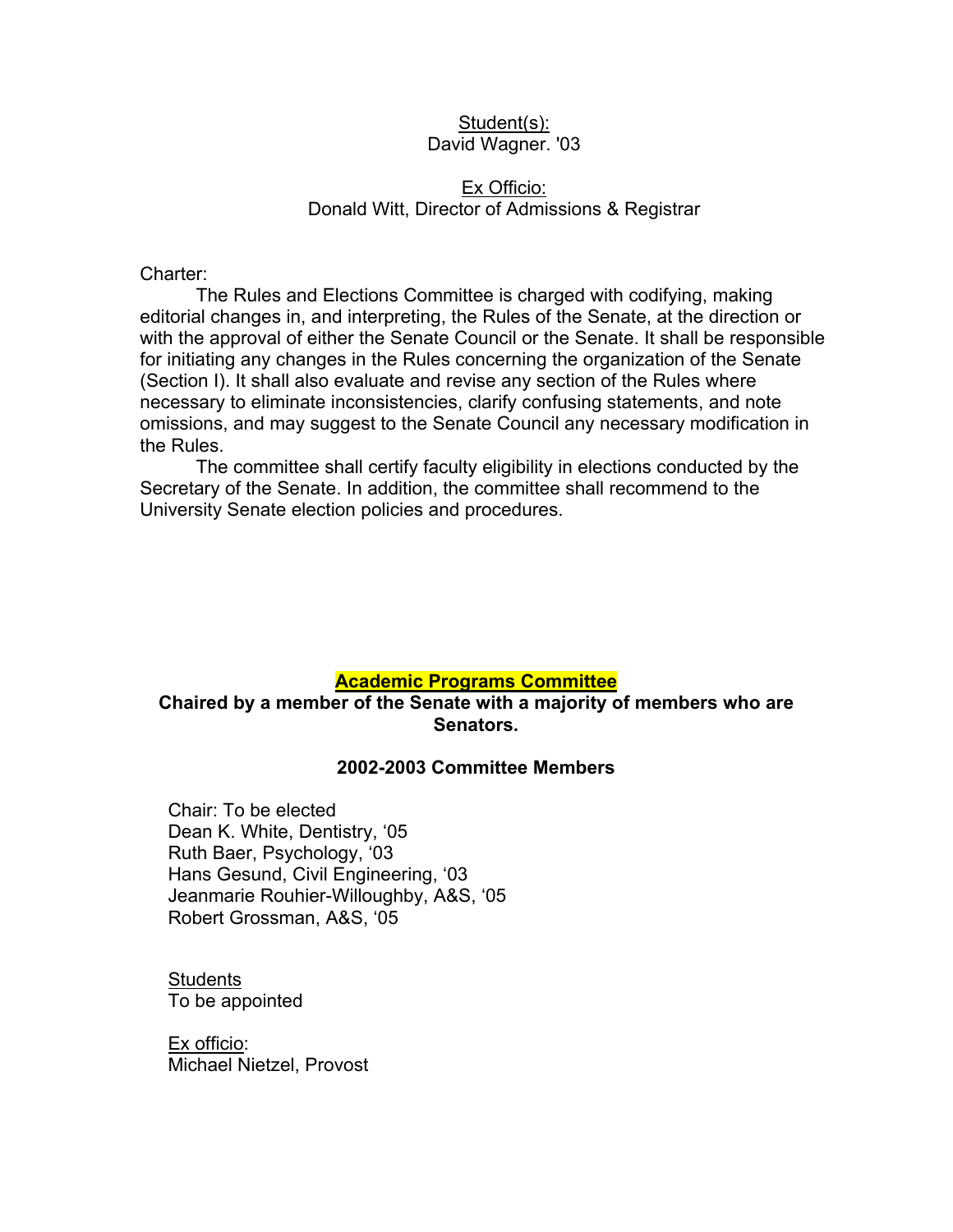### Student(s): David Wagner. '03

### Ex Officio: Donald Witt, Director of Admissions & Registrar

Charter:

The Rules and Elections Committee is charged with codifying, making editorial changes in, and interpreting, the Rules of the Senate, at the direction or with the approval of either the Senate Council or the Senate. It shall be responsible for initiating any changes in the Rules concerning the organization of the Senate (Section I). It shall also evaluate and revise any section of the Rules where necessary to eliminate inconsistencies, clarify confusing statements, and note omissions, and may suggest to the Senate Council any necessary modification in the Rules.

The committee shall certify faculty eligibility in elections conducted by the Secretary of the Senate. In addition, the committee shall recommend to the University Senate election policies and procedures.

### **Academic Programs Committee**

### **Chaired by a member of the Senate with a majority of members who are Senators.**

### **2002-2003 Committee Members**

Chair: To be elected Dean K. White, Dentistry, '05 Ruth Baer, Psychology, '03 Hans Gesund, Civil Engineering, '03 Jeanmarie Rouhier-Willoughby, A&S, '05 Robert Grossman, A&S, '05

**Students** To be appointed

Ex officio: Michael Nietzel, Provost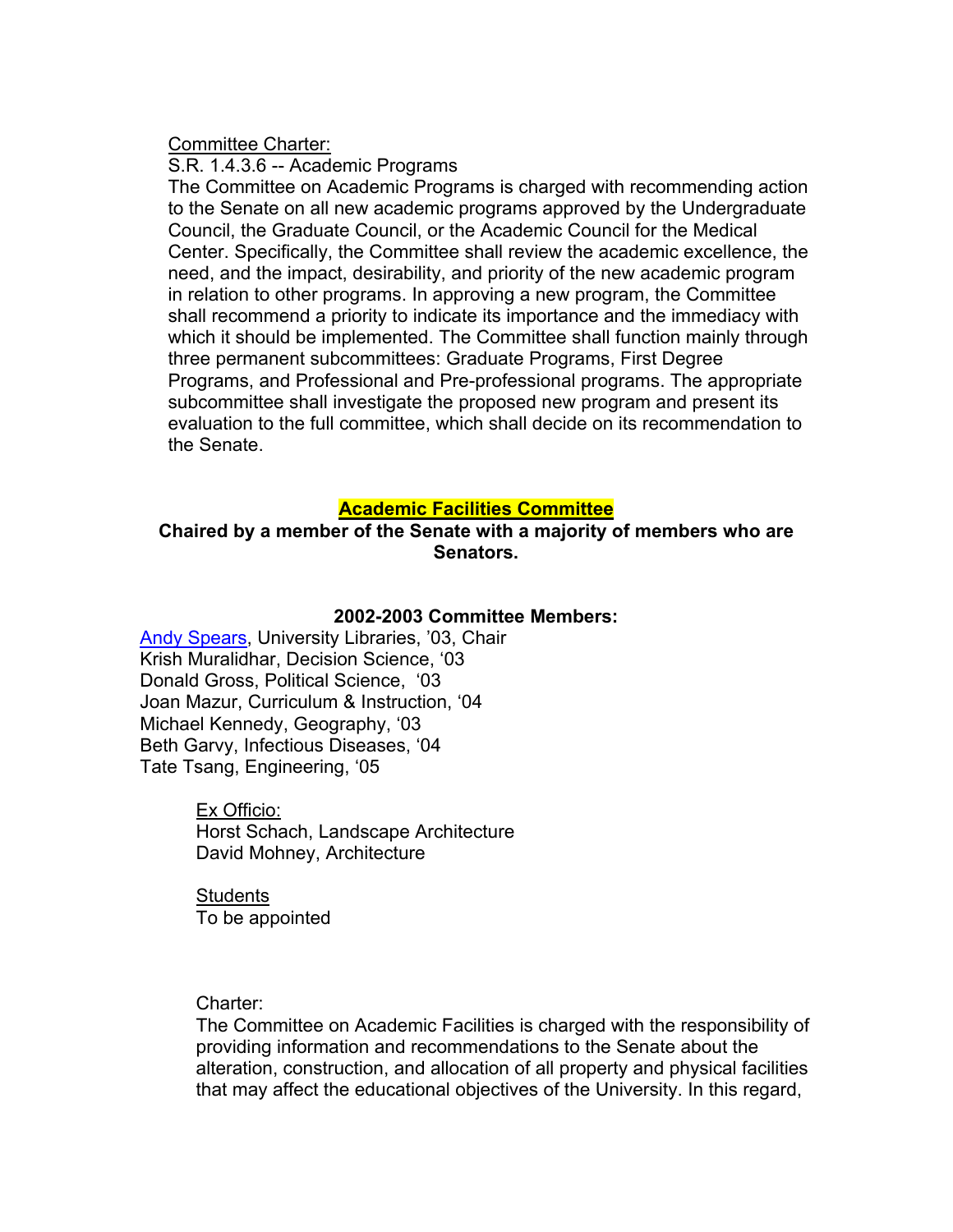Committee Charter:

S.R. 1.4.3.6 -- Academic Programs

The Committee on Academic Programs is charged with recommending action to the Senate on all new academic programs approved by the Undergraduate Council, the Graduate Council, or the Academic Council for the Medical Center. Specifically, the Committee shall review the academic excellence, the need, and the impact, desirability, and priority of the new academic program in relation to other programs. In approving a new program, the Committee shall recommend a priority to indicate its importance and the immediacy with which it should be implemented. The Committee shall function mainly through three permanent subcommittees: Graduate Programs, First Degree Programs, and Professional and Pre-professional programs. The appropriate subcommittee shall investigate the proposed new program and present its evaluation to the full committee, which shall decide on its recommendation to the Senate.

### **Academic Facilities Committee**

**Chaired by a member of the Senate with a majority of members who are Senators.** 

#### **2002-2003 Committee Members:**

Andy Spears, University Libraries, '03, Chair Krish Muralidhar, Decision Science, '03 Donald Gross, Political Science, '03 Joan Mazur, Curriculum & Instruction, '04 Michael Kennedy, Geography, '03 Beth Garvy, Infectious Diseases, '04 Tate Tsang, Engineering, '05

> Ex Officio: Horst Schach, Landscape Architecture David Mohney, Architecture

**Students** To be appointed

Charter:

The Committee on Academic Facilities is charged with the responsibility of providing information and recommendations to the Senate about the alteration, construction, and allocation of all property and physical facilities that may affect the educational objectives of the University. In this regard,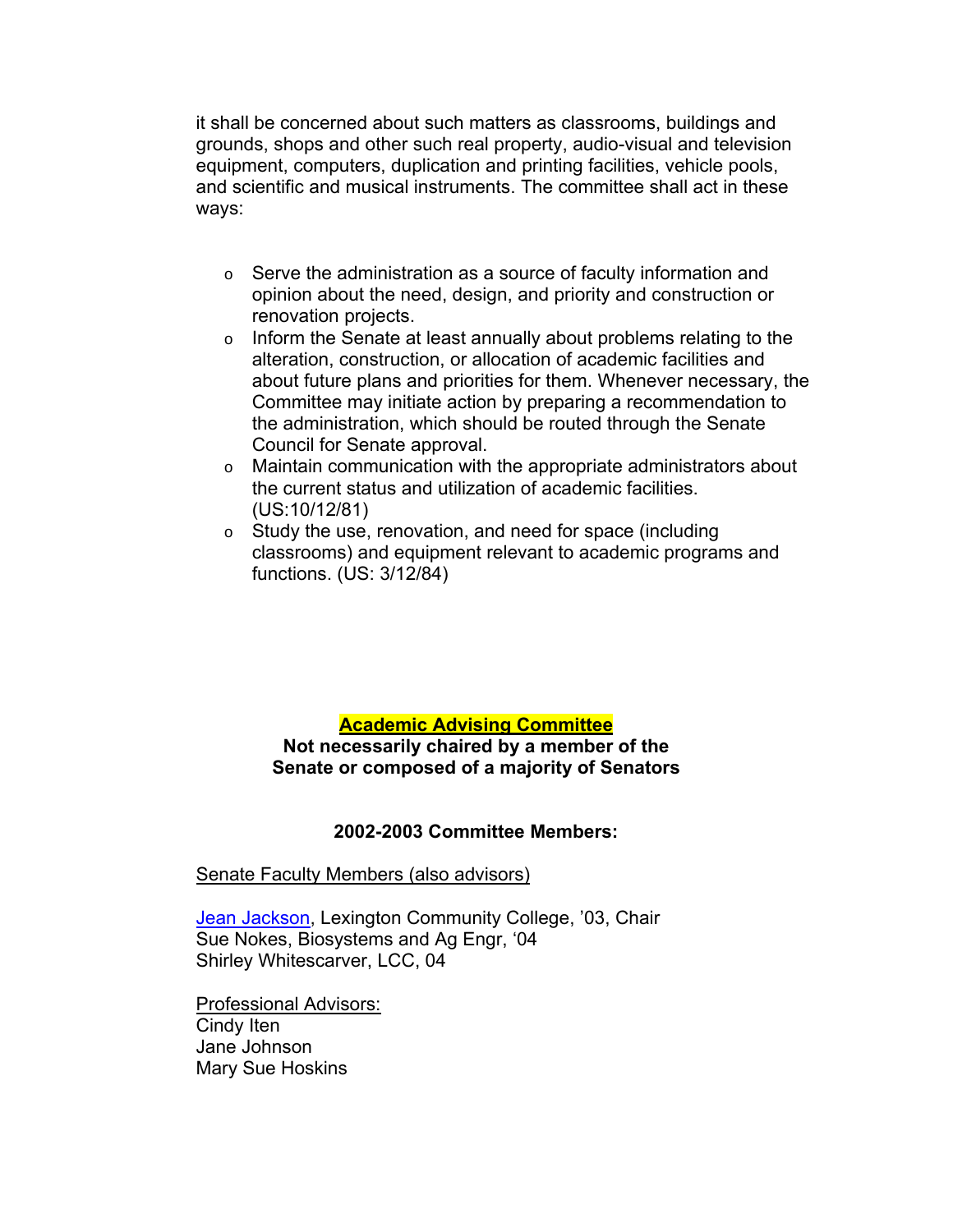it shall be concerned about such matters as classrooms, buildings and grounds, shops and other such real property, audio-visual and television equipment, computers, duplication and printing facilities, vehicle pools, and scientific and musical instruments. The committee shall act in these ways:

- o Serve the administration as a source of faculty information and opinion about the need, design, and priority and construction or renovation projects.
- o Inform the Senate at least annually about problems relating to the alteration, construction, or allocation of academic facilities and about future plans and priorities for them. Whenever necessary, the Committee may initiate action by preparing a recommendation to the administration, which should be routed through the Senate Council for Senate approval.
- o Maintain communication with the appropriate administrators about the current status and utilization of academic facilities. (US:10/12/81)
- o Study the use, renovation, and need for space (including classrooms) and equipment relevant to academic programs and functions. (US: 3/12/84)

# **Academic Advising Committee**

**Not necessarily chaired by a member of the Senate or composed of a majority of Senators**

### **2002-2003 Committee Members:**

### Senate Faculty Members (also advisors)

Jean Jackson, Lexington Community College, '03, Chair Sue Nokes, Biosystems and Ag Engr, '04 Shirley Whitescarver, LCC, 04

Professional Advisors: Cindy Iten Jane Johnson Mary Sue Hoskins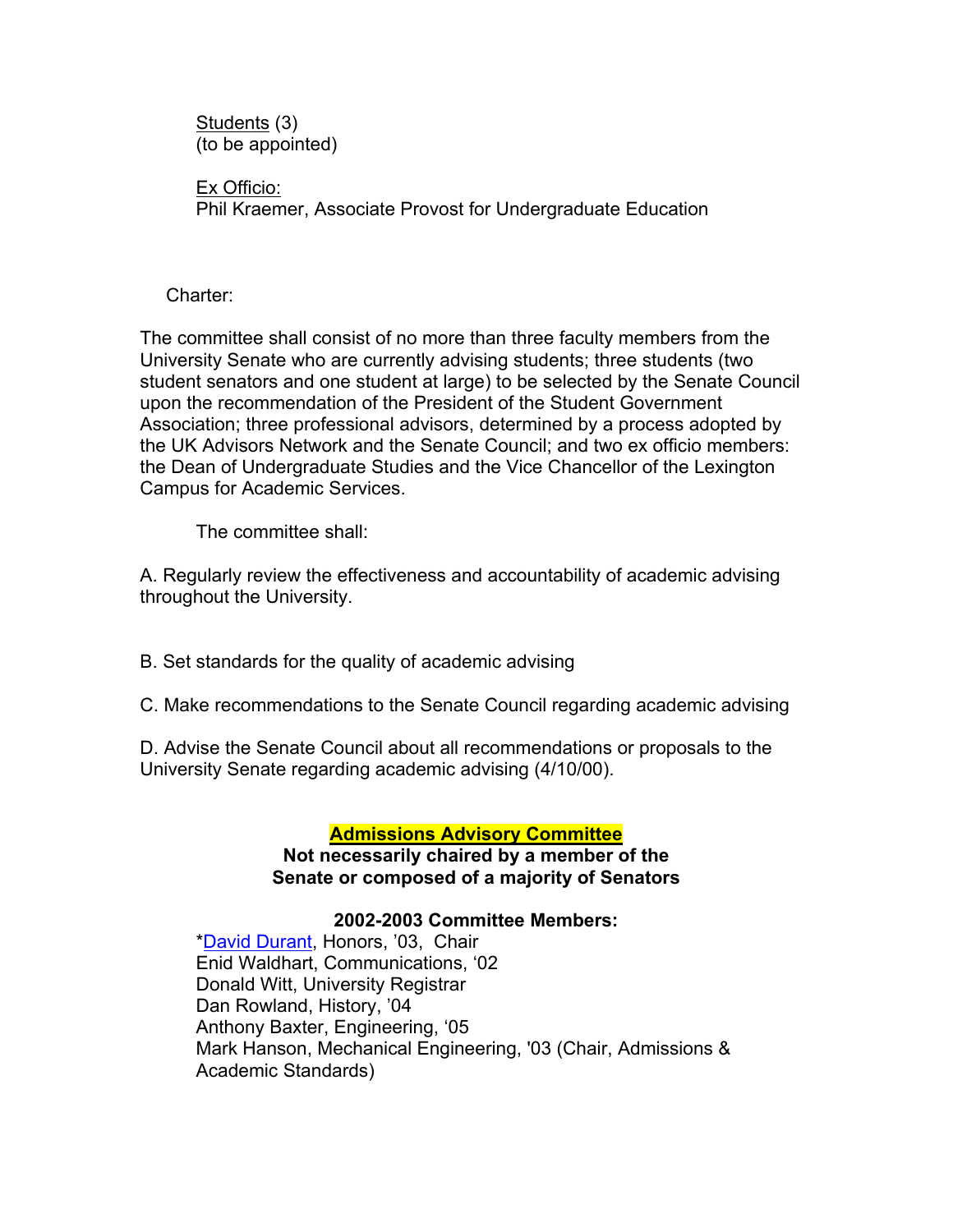Students (3) (to be appointed)

Ex Officio: Phil Kraemer, Associate Provost for Undergraduate Education

Charter:

The committee shall consist of no more than three faculty members from the University Senate who are currently advising students; three students (two student senators and one student at large) to be selected by the Senate Council upon the recommendation of the President of the Student Government Association; three professional advisors, determined by a process adopted by the UK Advisors Network and the Senate Council; and two ex officio members: the Dean of Undergraduate Studies and the Vice Chancellor of the Lexington Campus for Academic Services.

The committee shall:

A. Regularly review the effectiveness and accountability of academic advising throughout the University.

B. Set standards for the quality of academic advising

C. Make recommendations to the Senate Council regarding academic advising

D. Advise the Senate Council about all recommendations or proposals to the University Senate regarding academic advising (4/10/00).

# **Admissions Advisory Committee**

**Not necessarily chaired by a member of the Senate or composed of a majority of Senators**

### **2002-2003 Committee Members:**

\*David Durant, Honors, '03, Chair Enid Waldhart, Communications, '02 Donald Witt, University Registrar Dan Rowland, History, '04 Anthony Baxter, Engineering, '05 Mark Hanson, Mechanical Engineering, '03 (Chair, Admissions & Academic Standards)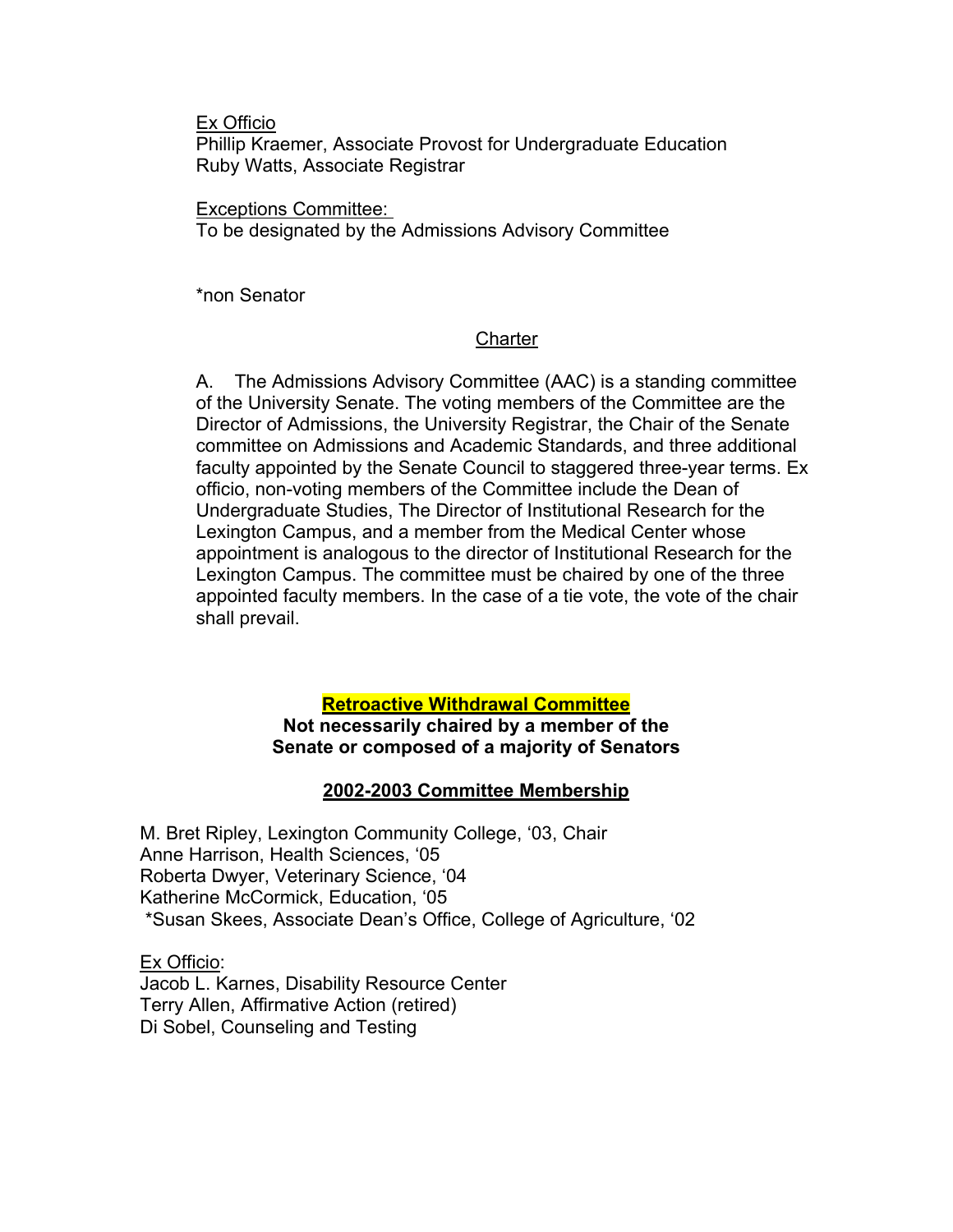Ex Officio

Phillip Kraemer, Associate Provost for Undergraduate Education Ruby Watts, Associate Registrar

Exceptions Committee:

To be designated by the Admissions Advisory Committee

\*non Senator

### **Charter**

A. The Admissions Advisory Committee (AAC) is a standing committee of the University Senate. The voting members of the Committee are the Director of Admissions, the University Registrar, the Chair of the Senate committee on Admissions and Academic Standards, and three additional faculty appointed by the Senate Council to staggered three-year terms. Ex officio, non-voting members of the Committee include the Dean of Undergraduate Studies, The Director of Institutional Research for the Lexington Campus, and a member from the Medical Center whose appointment is analogous to the director of Institutional Research for the Lexington Campus. The committee must be chaired by one of the three appointed faculty members. In the case of a tie vote, the vote of the chair shall prevail.

### **Retroactive Withdrawal Committee Not necessarily chaired by a member of the Senate or composed of a majority of Senators**

# **2002-2003 Committee Membership**

M. Bret Ripley, Lexington Community College, '03, Chair Anne Harrison, Health Sciences, '05 Roberta Dwyer, Veterinary Science, '04 Katherine McCormick, Education, '05 \*Susan Skees, Associate Dean's Office, College of Agriculture, '02

Ex Officio: Jacob L. Karnes, Disability Resource Center Terry Allen, Affirmative Action (retired) Di Sobel, Counseling and Testing